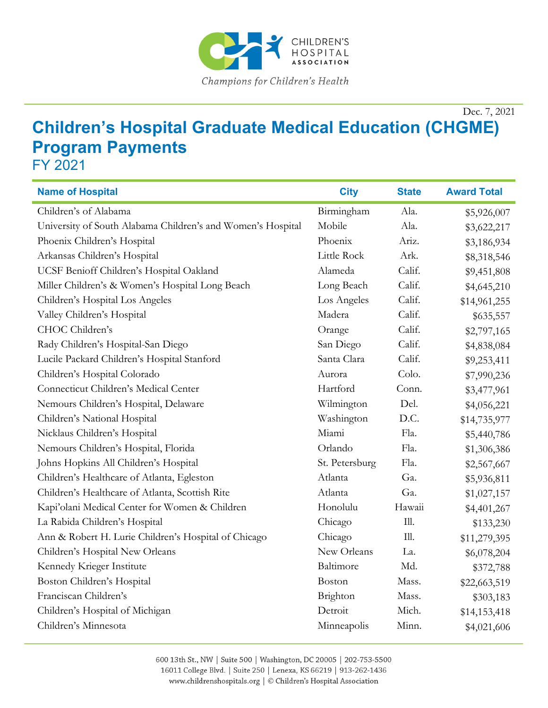

Dec. 7, 2021

## **Children's Hospital Graduate Medical Education (CHGME) Program Payments**

FY 2021

| <b>Name of Hospital</b>                                     | <b>City</b>    | <b>State</b> | <b>Award Total</b> |
|-------------------------------------------------------------|----------------|--------------|--------------------|
| Children's of Alabama                                       | Birmingham     | Ala.         | \$5,926,007        |
| University of South Alabama Children's and Women's Hospital | Mobile         | Ala.         | \$3,622,217        |
| Phoenix Children's Hospital                                 | Phoenix        | Ariz.        | \$3,186,934        |
| Arkansas Children's Hospital                                | Little Rock    | Ark.         | \$8,318,546        |
| UCSF Benioff Children's Hospital Oakland                    | Alameda        | Calif.       | \$9,451,808        |
| Miller Children's & Women's Hospital Long Beach             | Long Beach     | Calif.       | \$4,645,210        |
| Children's Hospital Los Angeles                             | Los Angeles    | Calif.       | \$14,961,255       |
| Valley Children's Hospital                                  | Madera         | Calif.       | \$635,557          |
| CHOC Children's                                             | Orange         | Calif.       | \$2,797,165        |
| Rady Children's Hospital-San Diego                          | San Diego      | Calif.       | \$4,838,084        |
| Lucile Packard Children's Hospital Stanford                 | Santa Clara    | Calif.       | \$9,253,411        |
| Children's Hospital Colorado                                | Aurora         | Colo.        | \$7,990,236        |
| Connecticut Children's Medical Center                       | Hartford       | Conn.        | \$3,477,961        |
| Nemours Children's Hospital, Delaware                       | Wilmington     | Del.         | \$4,056,221        |
| Children's National Hospital                                | Washington     | D.C.         | \$14,735,977       |
| Nicklaus Children's Hospital                                | Miami          | Fla.         | \$5,440,786        |
| Nemours Children's Hospital, Florida                        | Orlando        | Fla.         | \$1,306,386        |
| Johns Hopkins All Children's Hospital                       | St. Petersburg | Fla.         | \$2,567,667        |
| Children's Healthcare of Atlanta, Egleston                  | Atlanta        | Ga.          | \$5,936,811        |
| Children's Healthcare of Atlanta, Scottish Rite             | Atlanta        | Ga.          | \$1,027,157        |
| Kapi'olani Medical Center for Women & Children              | Honolulu       | Hawaii       | \$4,401,267        |
| La Rabida Children's Hospital                               | Chicago        | III.         | \$133,230          |
| Ann & Robert H. Lurie Children's Hospital of Chicago        | Chicago        | Ill.         | \$11,279,395       |
| Children's Hospital New Orleans                             | New Orleans    | La.          | \$6,078,204        |
| Kennedy Krieger Institute                                   | Baltimore      | Md.          | \$372,788          |
| Boston Children's Hospital                                  | Boston         | Mass.        | \$22,663,519       |
| Franciscan Children's                                       | Brighton       | Mass.        | \$303,183          |
| Children's Hospital of Michigan                             | Detroit        | Mich.        | \$14,153,418       |
| Children's Minnesota                                        | Minneapolis    | Minn.        | \$4,021,606        |